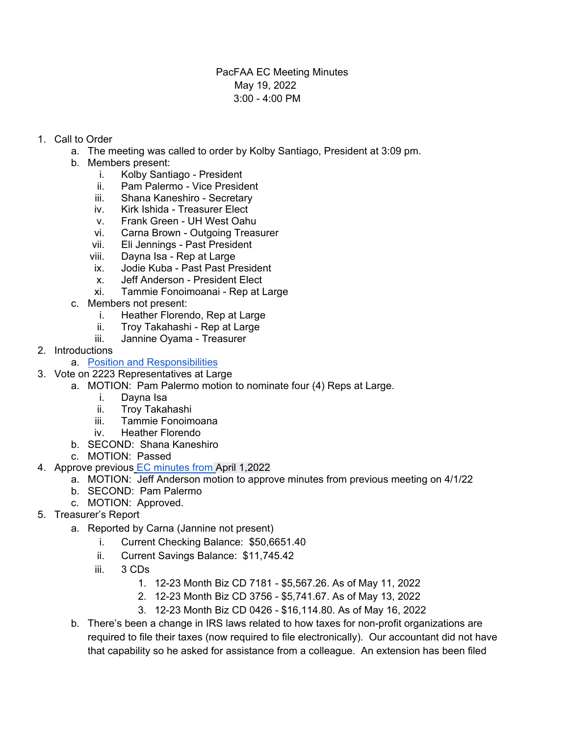## PacFAA EC Meeting Minutes May 19, 2022 3:00 - 4:00 PM

## 1. Call to Order

- a. The meeting was called to order by Kolby Santiago, President at 3:09 pm.
- b. Members present:
	- i. Kolby Santiago President
	- ii. Pam Palermo Vice President
	- iii. Shana Kaneshiro Secretary
	- iv. Kirk Ishida Treasurer Elect
	- v. Frank Green UH West Oahu
	- vi. Carna Brown Outgoing Treasurer
	- vii. Eli Jennings Past President
	- viii. Dayna Isa Rep at Large
	- ix. Jodie Kuba Past Past President
	- x. Jeff Anderson President Elect
	- xi. Tammie Fonoimoanai Rep at Large
- c. Members not present:
	- i. Heather Florendo, Rep at Large
	- ii. Troy Takahashi Rep at Large
	- iii. Jannine Oyama Treasurer
- 2. Introductions
	- a. Position and Responsibilities
- 3. Vote on 2223 Representatives at Large
	- a. MOTION: Pam Palermo motion to nominate four (4) Reps at Large.
		- i. Dayna Isa
		- ii. Troy Takahashi
		- iii. Tammie Fonoimoana
		- iv. Heather Florendo
	- b. SECOND: Shana Kaneshiro
	- c. MOTION: Passed
- 4. Approve previous EC minutes from April 1,2022
	- a. MOTION: Jeff Anderson motion to approve minutes from previous meeting on 4/1/22
	- b. SECOND: Pam Palermo
	- c. MOTION: Approved.
- 5. Treasurer's Report
	- a. Reported by Carna (Jannine not present)
		- i. Current Checking Balance: \$50,6651.40
		- ii. Current Savings Balance: \$11,745.42
		- iii. 3 CDs
			- 1. 12-23 Month Biz CD 7181 \$5,567.26. As of May 11, 2022
			- 2. 12-23 Month Biz CD 3756 \$5,741.67. As of May 13, 2022
			- 3. 12-23 Month Biz CD 0426 \$16,114.80. As of May 16, 2022
	- b. There's been a change in IRS laws related to how taxes for non-profit organizations are required to file their taxes (now required to file electronically). Our accountant did not have that capability so he asked for assistance from a colleague. An extension has been filed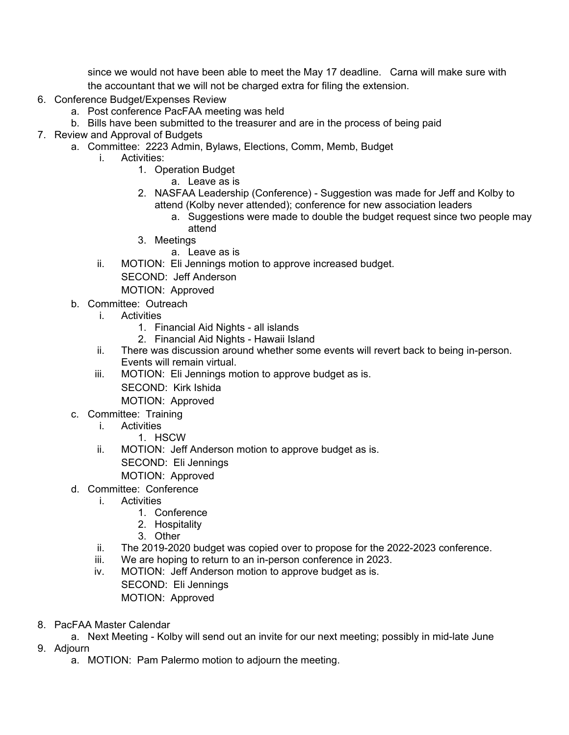since we would not have been able to meet the May 17 deadline. Carna will make sure with the accountant that we will not be charged extra for filing the extension.

- 6. Conference Budget/Expenses Review
	- a. Post conference PacFAA meeting was held
	- b. Bills have been submitted to the treasurer and are in the process of being paid
- 7. Review and Approval of Budgets
	- a. Committee: 2223 Admin, Bylaws, Elections, Comm, Memb, Budget
		- i. Activities:
			- 1. Operation Budget
				- a. Leave as is
			- 2. NASFAA Leadership (Conference) Suggestion was made for Jeff and Kolby to attend (Kolby never attended); conference for new association leaders
				- a. Suggestions were made to double the budget request since two people may attend
			- 3. Meetings
				- a. Leave as is
		- ii. MOTION: Eli Jennings motion to approve increased budget.
			- SECOND: Jeff Anderson
			- MOTION: Approved
		- b. Committee: Outreach
			- i. Activities
				- 1. Financial Aid Nights all islands
				- 2. Financial Aid Nights Hawaii Island
			- ii. There was discussion around whether some events will revert back to being in-person. Events will remain virtual.
			- iii. MOTION: Eli Jennings motion to approve budget as is. SECOND: Kirk Ishida
				- MOTION: Approved
		- c. Committee: Training
			- i. Activities
				- 1. HSCW
			- ii. MOTION: Jeff Anderson motion to approve budget as is. SECOND: Eli Jennings MOTION: Approved
		- d. Committee: Conference
			- i. Activities
			- - 1. Conference
				- 2. Hospitality
				- 3. Other
			- ii. The 2019-2020 budget was copied over to propose for the 2022-2023 conference.
			- iii. We are hoping to return to an in-person conference in 2023.
			- iv. MOTION: Jeff Anderson motion to approve budget as is.
				- SECOND: Eli Jennings MOTION: Approved
- 8. PacFAA Master Calendar

a. Next Meeting - Kolby will send out an invite for our next meeting; possibly in mid-late June

- 9. Adjourn
	- a. MOTION: Pam Palermo motion to adjourn the meeting.